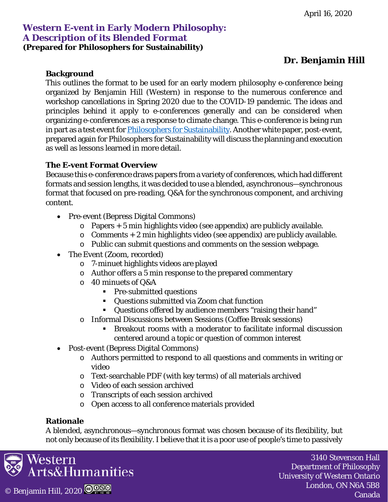# **Dr. Benjamin Hill**

### **Background**

This outlines the format to be used for an early modern philosophy e-conference being organized by Benjamin Hill (Western) in response to the numerous conference and workshop cancellations in Spring 2020 due to the COVID-19 pandemic. The ideas and principles behind it apply to e-conferences generally and can be considered when organizing e-conferences as a response to climate change. This e-conference is being run in part as a test event for **Philosophers for Sustainability**. Another white paper, post-event, prepared again for Philosophers for Sustainability will discuss the planning and execution as well as lessons learned in more detail.

## **The E-vent Format Overview**

Because this e-conference draws papers from a variety of conferences, which had different formats and session lengths, it was decided to use a blended, asynchronous—synchronous format that focused on pre-reading, Q&A for the synchronous component, and archiving content.

- Pre-event (Bepress Digital Commons)
	- o Papers + 5 min highlights video (see appendix) are publicly available.
	- $\circ$  Comments + 2 min highlights video (see appendix) are publicly available.
	- o Public can submit questions and comments on the session webpage.
- The Event (Zoom, recorded)
	- o 7-minuet highlights videos are played
	- o Author offers a 5 min response to the prepared commentary
	- o 40 minuets of Q&A
		- **Pre-submitted questions**
		- Questions submitted via Zoom chat function
		- Questions offered by audience members "raising their hand"
	- o Informal Discussions between Sessions (Coffee Break sessions)
		- Breakout rooms with a moderator to facilitate informal discussion centered around a topic or question of common interest
- Post-event (Bepress Digital Commons)
	- o Authors permitted to respond to all questions and comments in writing or video
	- o Text-searchable PDF (with key terms) of all materials archived
	- o Video of each session archived
	- o Transcripts of each session archived
	- o Open access to all conference materials provided

#### **Rationale**

A blended, asynchronous—synchronous format was chosen because of its flexibility, but not only because of its flexibility. I believe that it is a poor use of people's time to passively

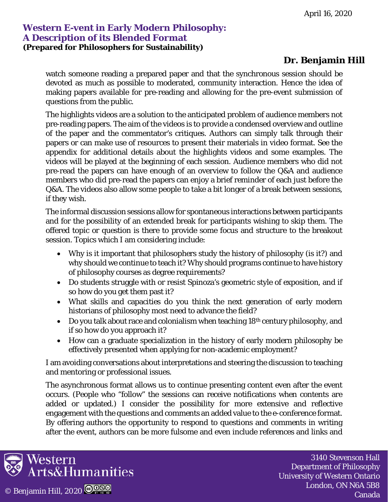# **Dr. Benjamin Hill**

watch someone reading a prepared paper and that the synchronous session should be devoted as much as possible to moderated, community interaction. Hence the idea of making papers available for pre-reading and allowing for the pre-event submission of questions from the public.

The highlights videos are a solution to the anticipated problem of audience members not pre-reading papers. The aim of the videos is to provide a condensed overview and outline of the paper and the commentator's critiques. Authors can simply talk through their papers or can make use of resources to present their materials in video format. See the appendix for additional details about the highlights videos and some examples. The videos will be played at the beginning of each session. Audience members who did not pre-read the papers can have enough of an overview to follow the Q&A and audience members who did pre-read the papers can enjoy a brief reminder of each just before the Q&A. The videos also allow some people to take a bit longer of a break between sessions, if they wish.

The informal discussion sessions allow for spontaneous interactions between participants and for the possibility of an extended break for participants wishing to skip them. The offered topic or question is there to provide some focus and structure to the breakout session. Topics which I am considering include:

- Why is it important that philosophers study the history of philosophy (is it?) and why should we continue to teach it? Why should programs continue to have history of philosophy courses as degree requirements?
- Do students struggle with or resist Spinoza's geometric style of exposition, and if so how do you get them past it?
- What skills and capacities do you think the next generation of early modern historians of philosophy most need to advance the field?
- Do you talk about race and colonialism when teaching  $18<sup>th</sup>$  century philosophy, and if so how do you approach it?
- How can a graduate specialization in the history of early modern philosophy be effectively presented when applying for non-academic employment?

I am avoiding conversations about interpretations and steering the discussion to teaching and mentoring or professional issues.

The asynchronous format allows us to continue presenting content even after the event occurs. (People who "follow" the sessions can receive notifications when contents are added or updated.) I consider the possibility for more extensive and reflective engagement with the questions and comments an added value to the e-conference format. By offering authors the opportunity to respond to questions and comments in writing after the event, authors can be more fulsome and even include references and links and

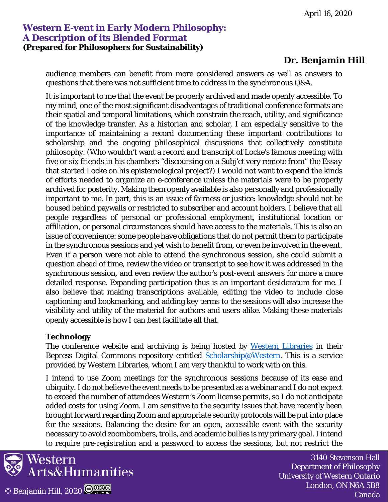# **Dr. Benjamin Hill**

audience members can benefit from more considered answers as well as answers to questions that there was not sufficient time to address in the synchronous Q&A.

It is important to me that the event be properly archived and made openly accessible. To my mind, one of the most significant disadvantages of traditional conference formats are their spatial and temporal limitations, which constrain the reach, utility, and significance of the knowledge transfer. As a historian and scholar, I am especially sensitive to the importance of maintaining a record documenting these important contributions to scholarship and the ongoing philosophical discussions that collectively constitute philosophy. (Who wouldn't want a record and transcript of Locke's famous meeting with five or six friends in his chambers "discoursing on a Subj'ct very remote from" the *Essay* that started Locke on his epistemological project?) I would not want to expend the kinds of efforts needed to organize an e-conference unless the materials were to be properly archived for posterity. Making them openly available is also personally and professionally important to me. In part, this is an issue of fairness or justice: knowledge should not be housed behind paywalls or restricted to subscriber and account holders. I believe that all people regardless of personal or professional employment, institutional location or affiliation, or personal circumstances should have access to the materials. This is also an issue of convenience: some people have obligations that do not permit them to participate in the synchronous sessions and yet wish to benefit from, or even be involved in the event. Even if a person were not able to attend the synchronous session, she could submit a question ahead of time, review the video or transcript to see how it was addressed in the synchronous session, and even review the author's post-event answers for more a more detailed response. Expanding participation thus is an important desideratum for me. I also believe that making transcriptions available, editing the video to include close captioning and bookmarking, and adding key terms to the sessions will also increase the visibility and utility of the material for authors and users alike. Making these materials openly accessible is how I can best facilitate all that.

#### **Technology**

The conference website and archiving is being hosted by [Western Libraries](https://www.lib.uwo.ca/) in their Bepress Digital Commons repository entitled [Scholarship@Western.](https://ir.lib.uwo.ca/) This is a service provided by Western Libraries, whom I am very thankful to work with on this.

I intend to use Zoom meetings for the synchronous sessions because of its ease and ubiquity. I do not believe the event needs to be presented as a webinar and I do not expect to exceed the number of attendees Western's Zoom license permits, so I do not anticipate added costs for using Zoom. I am sensitive to the security issues that have recently been brought forward regarding Zoom and appropriate security protocols will be put into place for the sessions. Balancing the desire for an open, accessible event with the security necessary to avoid zoombombers, trolls, and academic bullies is my primary goal. I intend to require pre-registration and a password to access the sessions, but not restrict the

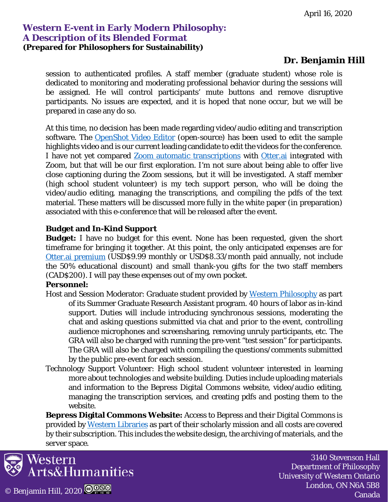# **Dr. Benjamin Hill**

session to authenticated profiles. A staff member (graduate student) whose role is dedicated to monitoring and moderating professional behavior during the sessions will be assigned. He will control participants' mute buttons and remove disruptive participants. No issues are expected, and it is hoped that none occur, but we will be prepared in case any do so.

At this time, no decision has been made regarding video/audio editing and transcription software. The [OpenShot Video Editor](https://www.openshot.org/) (open-source) has been used to edit the sample highlights video and is our current leading candidate to edit the videos for the conference. I have not yet compared [Zoom automatic transcriptions](https://support.zoom.us/hc/en-us/articles/115004794983-Automatically-Transcribe-Cloud-Recordings-) with [Otter.ai](https://otter.ai/) integrated with Zoom, but that will be our first exploration. I'm not sure about being able to offer live close captioning during the Zoom sessions, but it will be investigated. A staff member (high school student volunteer) is my tech support person, who will be doing the video/audio editing, managing the transcriptions, and compiling the pdfs of the text material. These matters will be discussed more fully in the white paper (in preparation) associated with this e-conference that will be released after the event.

#### **Budget and In-Kind Support**

**Budget:** I have no budget for this event. None has been requested, given the short timeframe for bringing it together. At this point, the only anticipated expenses are for [Otter.ai premium](https://otter.ai/pricing) (USD\$9.99 monthly or USD\$8.33/month paid annually, not include the 50% educational discount) and small thank-you gifts for the two staff members (CAD\$200). I will pay these expenses out of my own pocket.

#### **Personnel:**

- Host and Session Moderator: Graduate student provided by [Western Philosophy](https://www.uwo.ca/philosophy/) as part of its Summer Graduate Research Assistant program. 40 hours of labor as in-kind support. Duties will include introducing synchronous sessions, moderating the chat and asking questions submitted via chat and prior to the event, controlling audience microphones and screensharing, removing unruly participants, etc. The GRA will also be charged with running the pre-vent "test session" for participants. The GRA will also be charged with compiling the questions/comments submitted by the public pre-event for each session.
- Technology Support Volunteer: High school student volunteer interested in learning more about technologies and website building. Duties include uploading materials and information to the Bepress Digital Commons website, video/audio editing, managing the transcription services, and creating pdfs and posting them to the website.

**Bepress Digital Commons Website:** Access to Bepress and their Digital Commons is provided b[y Western Libraries](https://www.lib.uwo.ca/) as part of their scholarly mission and all costs are covered by their subscription. This includes the website design, the archiving of materials, and the server space.

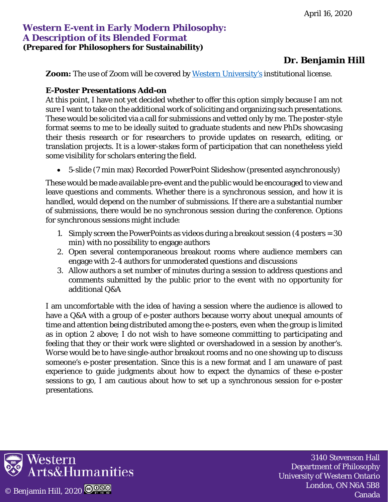# **Dr. Benjamin Hill**

**Zoom:** The use of Zoom will be covered by [Western University's](https://www.uwo.ca/) institutional license.

#### **E-Poster Presentations Add-on**

At this point, I have not yet decided whether to offer this option simply because I am not sure I want to take on the additional work of soliciting and organizing such presentations. These would be solicited via a call for submissions and vetted only by me. The poster-style format seems to me to be ideally suited to graduate students and new PhDs showcasing their thesis research or for researchers to provide updates on research, editing, or translation projects. It is a lower-stakes form of participation that can nonetheless yield some visibility for scholars entering the field.

• 5-slide (7 min max) Recorded PowerPoint Slideshow (presented asynchronously)

These would be made available pre-event and the public would be encouraged to view and leave questions and comments. Whether there is a synchronous session, and how it is handled, would depend on the number of submissions. If there are a substantial number of submissions, there would be no synchronous session during the conference. Options for synchronous sessions might include:

- 1. Simply screen the PowerPoints as videos during a breakout session (4 posters = 30 min) with no possibility to engage authors
- 2. Open several contemporaneous breakout rooms where audience members can engage with 2-4 authors for unmoderated questions and discussions
- 3. Allow authors a set number of minutes during a session to address questions and comments submitted by the public prior to the event with no opportunity for additional Q&A

I am uncomfortable with the idea of having a session where the audience is allowed to have a Q&A with a group of e-poster authors because worry about unequal amounts of time and attention being distributed among the e-posters, even when the group is limited as in option 2 above; I do not wish to have someone committing to participating and feeling that they or their work were slighted or overshadowed in a session by another's. Worse would be to have single-author breakout rooms and no one showing up to discuss someone's e-poster presentation. Since this is a new format and I am unaware of past experience to guide judgments about how to expect the dynamics of these e-poster sessions to go, I am cautious about how to set up a synchronous session for e-poster presentations.